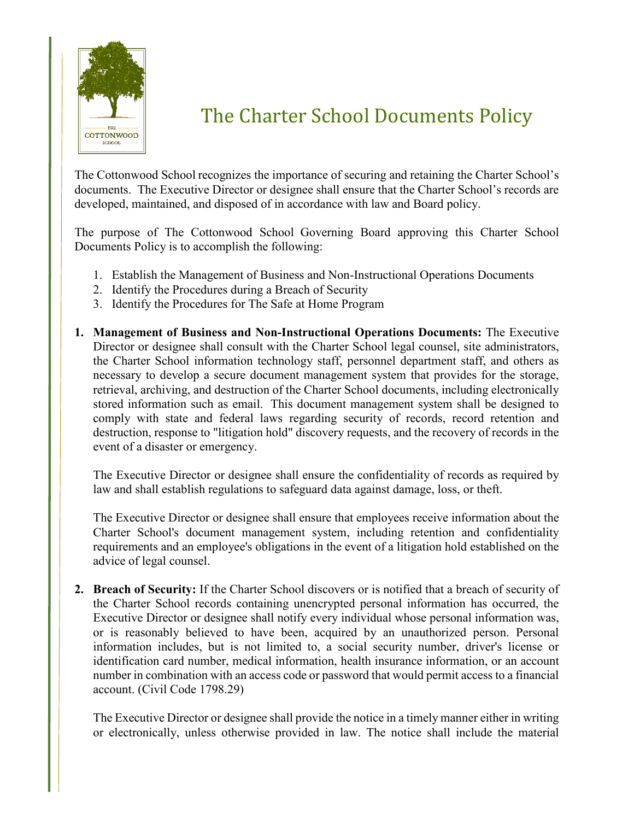

## The Charter School Documents Policy

The Cottonwood School recognizes the importance of securing and retaining the Charter School's documents. The Executive Director or designee shall ensure that the Charter School's records are developed, maintained, and disposed of in accordance with law and Board policy.

The purpose of The Cottonwood School Governing Board approving this Charter School Documents Policy is to accomplish the following:

- 1. Establish the Management of Business and Non-Instructional Operations Documents
- 2. Identify the Procedures during a Breach of Security
- 3. Identify the Procedures for The Safe at Home Program
- **1. Management of Business and Non-Instructional Operations Documents:** The Executive Director or designee shall consult with the Charter School legal counsel, site administrators, the Charter School information technology staff, personnel department staff, and others as necessary to develop a secure document management system that provides for the storage, retrieval, archiving, and destruction of the Charter School documents, including electronically stored information such as email. This document management system shall be designed to comply with state and federal laws regarding security of records, record retention and destruction, response to "litigation hold" discovery requests, and the recovery of records in the event of a disaster or emergency.

The Executive Director or designee shall ensure the confidentiality of records as required by law and shall establish regulations to safeguard data against damage, loss, or theft.

The Executive Director or designee shall ensure that employees receive information about the Charter School's document management system, including retention and confidentiality requirements and an employee's obligations in the event of a litigation hold established on the advice of legal counsel.

**2. Breach of Security:** If the Charter School discovers or is notified that a breach of security of the Charter School records containing unencrypted personal information has occurred, the Executive Director or designee shall notify every individual whose personal information was, or is reasonably believed to have been, acquired by an unauthorized person. Personal information includes, but is not limited to, a social security number, driver's license or identification card number, medical information, health insurance information, or an account number in combination with an access code or password that would permit access to a financial account. (Civil Code 1798.29)

The Executive Director or designee shall provide the notice in a timely manner either in writing or electronically, unless otherwise provided in law. The notice shall include the material